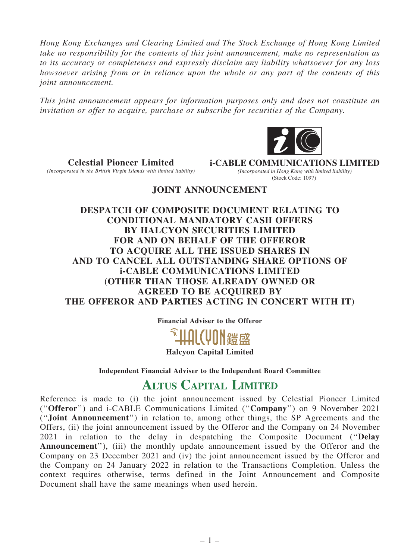*Hong Kong Exchanges and Clearing Limited and The Stock Exchange of Hong Kong Limited take no responsibility for the contents of this joint announcement, make no representation as to its accuracy or completeness and expressly disclaim any liability whatsoever for any loss howsoever arising from or in reliance upon the whole or any part of the contents of this joint announcement.*

*This joint announcement appears for information purposes only and does not constitute an invitation or offer to acquire, purchase or subscribe for securities of the Company.*



Celestial Pioneer Limited *(Incorporated in the British Virgin Islands with limited liability)* **i-CABLE COMMUNICATIONS LIMITED** *(Incorporated in Hong Kong with limited liability)* (Stock Code: 1097)

## JOINT ANNOUNCEMENT

DESPATCH OF COMPOSITE DOCUMENT RELATING TO CONDITIONAL MANDATORY CASH OFFERS BY HALCYON SECURITIES LIMITED FOR AND ON BEHALF OF THE OFFEROR TO ACQUIRE ALL THE ISSUED SHARES IN AND TO CANCEL ALL OUTSTANDING SHARE OPTIONS OF i-CABLE COMMUNICATIONS LIMITED (OTHER THAN THOSE ALREADY OWNED OR AGREED TO BE ACQUIRED BY THE OFFEROR AND PARTIES ACTING IN CONCERT WITH IT)

Financial Adviser to the Offeror



Halcyon Capital Limited

Independent Financial Adviser to the Independent Board Committee

# **ALTUS CAPITAL LIMITED**

Reference is made to (i) the joint announcement issued by Celestial Pioneer Limited (''Offeror'') and i-CABLE Communications Limited (''Company'') on 9 November 2021 (''Joint Announcement'') in relation to, among other things, the SP Agreements and the Offers, (ii) the joint announcement issued by the Offeror and the Company on 24 November 2021 in relation to the delay in despatching the Composite Document (''Delay Announcement''), (iii) the monthly update announcement issued by the Offeror and the Company on 23 December 2021 and (iv) the joint announcement issued by the Offeror and the Company on 24 January 2022 in relation to the Transactions Completion. Unless the context requires otherwise, terms defined in the Joint Announcement and Composite Document shall have the same meanings when used herein.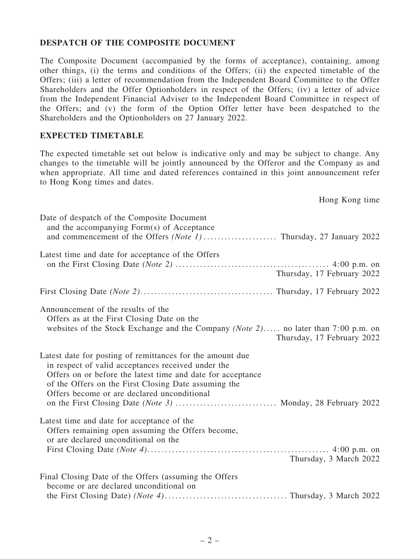### DESPATCH OF THE COMPOSITE DOCUMENT

The Composite Document (accompanied by the forms of acceptance), containing, among other things, (i) the terms and conditions of the Offers; (ii) the expected timetable of the Offers; (iii) a letter of recommendation from the Independent Board Committee to the Offer Shareholders and the Offer Optionholders in respect of the Offers; (iv) a letter of advice from the Independent Financial Adviser to the Independent Board Committee in respect of the Offers; and (v) the form of the Option Offer letter have been despatched to the Shareholders and the Optionholders on 27 January 2022.

### EXPECTED TIMETABLE

The expected timetable set out below is indicative only and may be subject to change. Any changes to the timetable will be jointly announced by the Offeror and the Company as and when appropriate. All time and dated references contained in this joint announcement refer to Hong Kong times and dates.

Hong Kong time

| Date of despatch of the Composite Document<br>and the accompanying Form(s) of Acceptance                                                                                                                                                                                                                                                              |
|-------------------------------------------------------------------------------------------------------------------------------------------------------------------------------------------------------------------------------------------------------------------------------------------------------------------------------------------------------|
| Latest time and date for acceptance of the Offers<br>Thursday, 17 February 2022                                                                                                                                                                                                                                                                       |
|                                                                                                                                                                                                                                                                                                                                                       |
| Announcement of the results of the<br>Offers as at the First Closing Date on the<br>websites of the Stock Exchange and the Company (Note 2) no later than 7:00 p.m. on<br>Thursday, 17 February 2022                                                                                                                                                  |
| Latest date for posting of remittances for the amount due<br>in respect of valid acceptances received under the<br>Offers on or before the latest time and date for acceptance<br>of the Offers on the First Closing Date assuming the<br>Offers become or are declared unconditional<br>on the First Closing Date (Note 3)  Monday, 28 February 2022 |
| Latest time and date for acceptance of the<br>Offers remaining open assuming the Offers become,<br>or are declared unconditional on the<br>Thursday, 3 March 2022                                                                                                                                                                                     |
| Final Closing Date of the Offers (assuming the Offers<br>become or are declared unconditional on                                                                                                                                                                                                                                                      |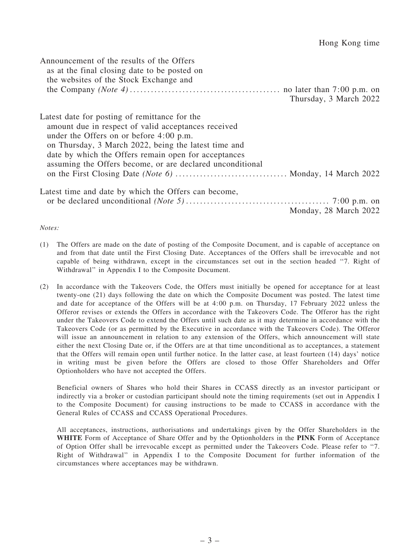| Announcement of the results of the Offers<br>as at the final closing date to be posted on<br>the websites of the Stock Exchange and                                                                                                                                                                                            |                        |
|--------------------------------------------------------------------------------------------------------------------------------------------------------------------------------------------------------------------------------------------------------------------------------------------------------------------------------|------------------------|
|                                                                                                                                                                                                                                                                                                                                | Thursday, 3 March 2022 |
| Latest date for posting of remittance for the<br>amount due in respect of valid acceptances received<br>under the Offers on or before $4:00$ p.m.<br>on Thursday, 3 March 2022, being the latest time and<br>date by which the Offers remain open for acceptances<br>assuming the Offers become, or are declared unconditional |                        |
|                                                                                                                                                                                                                                                                                                                                |                        |
| Latest time and date by which the Offers can become,                                                                                                                                                                                                                                                                           | Monday, 28 March 2022  |

*Notes:*

- (1) The Offers are made on the date of posting of the Composite Document, and is capable of acceptance on and from that date until the First Closing Date. Acceptances of the Offers shall be irrevocable and not capable of being withdrawn, except in the circumstances set out in the section headed ''7. Right of Withdrawal'' in Appendix I to the Composite Document.
- (2) In accordance with the Takeovers Code, the Offers must initially be opened for acceptance for at least twenty-one (21) days following the date on which the Composite Document was posted. The latest time and date for acceptance of the Offers will be at 4:00 p.m. on Thursday, 17 February 2022 unless the Offeror revises or extends the Offers in accordance with the Takeovers Code. The Offeror has the right under the Takeovers Code to extend the Offers until such date as it may determine in accordance with the Takeovers Code (or as permitted by the Executive in accordance with the Takeovers Code). The Offeror will issue an announcement in relation to any extension of the Offers, which announcement will state either the next Closing Date or, if the Offers are at that time unconditional as to acceptances, a statement that the Offers will remain open until further notice. In the latter case, at least fourteen (14) days' notice in writing must be given before the Offers are closed to those Offer Shareholders and Offer Optionholders who have not accepted the Offers.

Beneficial owners of Shares who hold their Shares in CCASS directly as an investor participant or indirectly via a broker or custodian participant should note the timing requirements (set out in Appendix I to the Composite Document) for causing instructions to be made to CCASS in accordance with the General Rules of CCASS and CCASS Operational Procedures.

All acceptances, instructions, authorisations and undertakings given by the Offer Shareholders in the WHITE Form of Acceptance of Share Offer and by the Optionholders in the PINK Form of Acceptance of Option Offer shall be irrevocable except as permitted under the Takeovers Code. Please refer to ''7. Right of Withdrawal'' in Appendix I to the Composite Document for further information of the circumstances where acceptances may be withdrawn.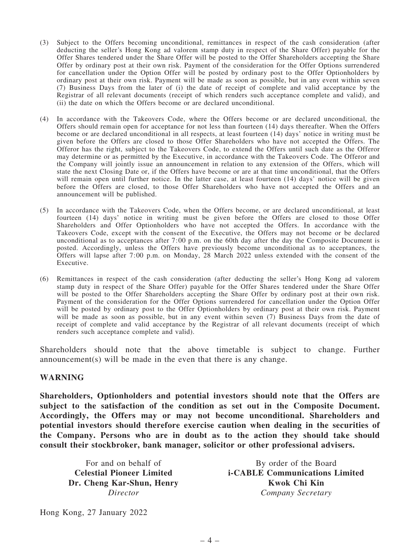- (3) Subject to the Offers becoming unconditional, remittances in respect of the cash consideration (after deducting the seller's Hong Kong ad valorem stamp duty in respect of the Share Offer) payable for the Offer Shares tendered under the Share Offer will be posted to the Offer Shareholders accepting the Share Offer by ordinary post at their own risk. Payment of the consideration for the Offer Options surrendered for cancellation under the Option Offer will be posted by ordinary post to the Offer Optionholders by ordinary post at their own risk. Payment will be made as soon as possible, but in any event within seven (7) Business Days from the later of (i) the date of receipt of complete and valid acceptance by the Registrar of all relevant documents (receipt of which renders such acceptance complete and valid), and (ii) the date on which the Offers become or are declared unconditional.
- (4) In accordance with the Takeovers Code, where the Offers become or are declared unconditional, the Offers should remain open for acceptance for not less than fourteen (14) days thereafter. When the Offers become or are declared unconditional in all respects, at least fourteen (14) days' notice in writing must be given before the Offers are closed to those Offer Shareholders who have not accepted the Offers. The Offeror has the right, subject to the Takeovers Code, to extend the Offers until such date as the Offeror may determine or as permitted by the Executive, in accordance with the Takeovers Code. The Offeror and the Company will jointly issue an announcement in relation to any extension of the Offers, which will state the next Closing Date or, if the Offers have become or are at that time unconditional, that the Offers will remain open until further notice. In the latter case, at least fourteen (14) days' notice will be given before the Offers are closed, to those Offer Shareholders who have not accepted the Offers and an announcement will be published.
- (5) In accordance with the Takeovers Code, when the Offers become, or are declared unconditional, at least fourteen (14) days' notice in writing must be given before the Offers are closed to those Offer Shareholders and Offer Optionholders who have not accepted the Offers. In accordance with the Takeovers Code, except with the consent of the Executive, the Offers may not become or be declared unconditional as to acceptances after 7:00 p.m. on the 60th day after the day the Composite Document is posted. Accordingly, unless the Offers have previously become unconditional as to acceptances, the Offers will lapse after 7:00 p.m. on Monday, 28 March 2022 unless extended with the consent of the Executive.
- (6) Remittances in respect of the cash consideration (after deducting the seller's Hong Kong ad valorem stamp duty in respect of the Share Offer) payable for the Offer Shares tendered under the Share Offer will be posted to the Offer Shareholders accepting the Share Offer by ordinary post at their own risk. Payment of the consideration for the Offer Options surrendered for cancellation under the Option Offer will be posted by ordinary post to the Offer Optionholders by ordinary post at their own risk. Payment will be made as soon as possible, but in any event within seven (7) Business Days from the date of receipt of complete and valid acceptance by the Registrar of all relevant documents (receipt of which renders such acceptance complete and valid).

Shareholders should note that the above timetable is subject to change. Further announcement(s) will be made in the even that there is any change.

#### WARNING

Shareholders, Optionholders and potential investors should note that the Offers are subject to the satisfaction of the condition as set out in the Composite Document. Accordingly, the Offers may or may not become unconditional. Shareholders and potential investors should therefore exercise caution when dealing in the securities of the Company. Persons who are in doubt as to the action they should take should consult their stockbroker, bank manager, solicitor or other professional advisers.

For and on behalf of Celestial Pioneer Limited Dr. Cheng Kar-Shun, Henry *Director*

By order of the Board i-CABLE Communications Limited Kwok Chi Kin *Company Secretary*

Hong Kong, 27 January 2022